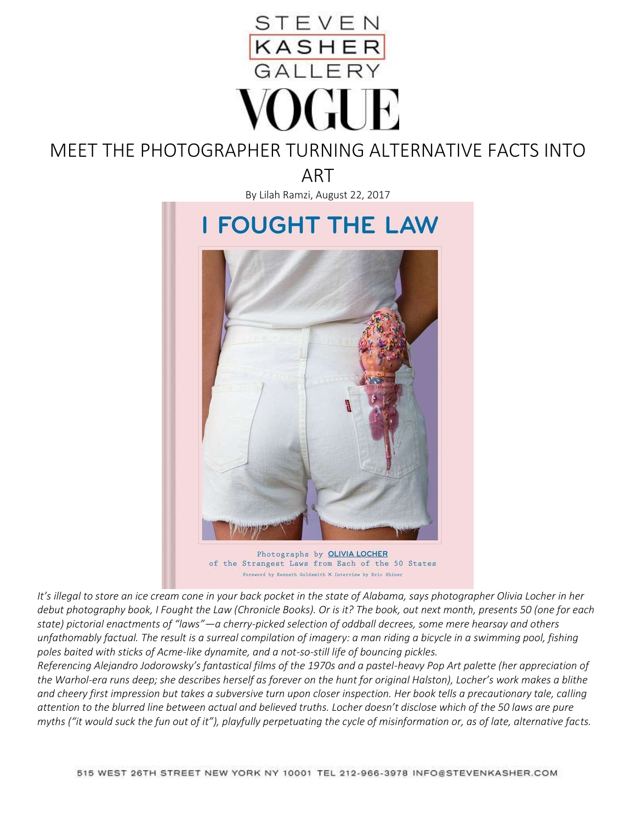

# MEET THE PHOTOGRAPHER TURNING ALTERNATIVE FACTS INTO

ART

By Lilah Ramzi, August 22, 2017



of the Strangest Laws from Each of the 50 States Foreword by Kenneth Goldsmith X Interview by Sric Shiner

*It's illegal to store an ice cream cone in your back pocket in the state of Alabama, says photographer Olivia Locher in her debut photography book, I Fought the Law (Chronicle Books). Or is it? The book, out next month, presents 50 (one for each state) pictorial enactments of "laws"—a cherry-picked selection of oddball decrees, some mere hearsay and others unfathomably factual. The result is a surreal compilation of imagery: a man riding a bicycle in a swimming pool, fishing poles baited with sticks of Acme-like dynamite, and a not-so-still life of bouncing pickles.*

*Referencing Alejandro Jodorowsky's fantastical films of the 1970s and a pastel-heavy Pop Art palette (her appreciation of the Warhol-era runs deep; she describes herself as forever on the hunt for original Halston), Locher's work makes a blithe and cheery first impression but takes a subversive turn upon closer inspection. Her book tells a precautionary tale, calling attention to the blurred line between actual and believed truths. Locher doesn't disclose which of the 50 laws are pure myths ("it would suck the fun out of it"), playfully perpetuating the cycle of misinformation or, as of late, alternative facts.*